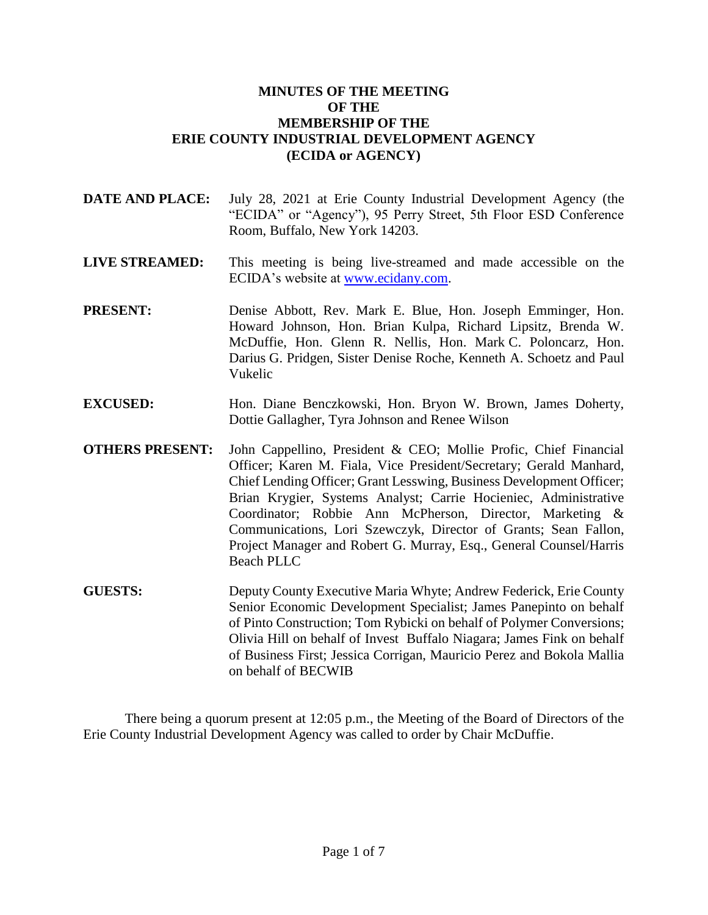### **MINUTES OF THE MEETING OF THE MEMBERSHIP OF THE ERIE COUNTY INDUSTRIAL DEVELOPMENT AGENCY (ECIDA or AGENCY)**

- **DATE AND PLACE:** July 28, 2021 at Erie County Industrial Development Agency (the "ECIDA" or "Agency"), 95 Perry Street, 5th Floor ESD Conference Room, Buffalo, New York 14203.
- **LIVE STREAMED:** This meeting is being live-streamed and made accessible on the ECIDA's website at [www.ecidany.com.](http://www.ecidany.com/)
- **PRESENT:** Denise Abbott, Rev. Mark E. Blue, Hon. Joseph Emminger, Hon. Howard Johnson, Hon. Brian Kulpa, Richard Lipsitz, Brenda W. McDuffie, Hon. Glenn R. Nellis, Hon. Mark C. Poloncarz, Hon. Darius G. Pridgen, Sister Denise Roche, Kenneth A. Schoetz and Paul Vukelic
- **EXCUSED:** Hon. Diane Benczkowski, Hon. Bryon W. Brown, James Doherty, Dottie Gallagher, Tyra Johnson and Renee Wilson
- **OTHERS PRESENT:** John Cappellino, President & CEO; Mollie Profic, Chief Financial Officer; Karen M. Fiala, Vice President/Secretary; Gerald Manhard, Chief Lending Officer; Grant Lesswing, Business Development Officer; Brian Krygier, Systems Analyst; Carrie Hocieniec, Administrative Coordinator; Robbie Ann McPherson, Director, Marketing & Communications, Lori Szewczyk, Director of Grants; Sean Fallon, Project Manager and Robert G. Murray, Esq., General Counsel/Harris Beach PLLC
- **GUESTS:** Deputy County Executive Maria Whyte; Andrew Federick, Erie County Senior Economic Development Specialist; James Panepinto on behalf of Pinto Construction; Tom Rybicki on behalf of Polymer Conversions; Olivia Hill on behalf of Invest Buffalo Niagara; James Fink on behalf of Business First; Jessica Corrigan, Mauricio Perez and Bokola Mallia on behalf of BECWIB

There being a quorum present at 12:05 p.m., the Meeting of the Board of Directors of the Erie County Industrial Development Agency was called to order by Chair McDuffie.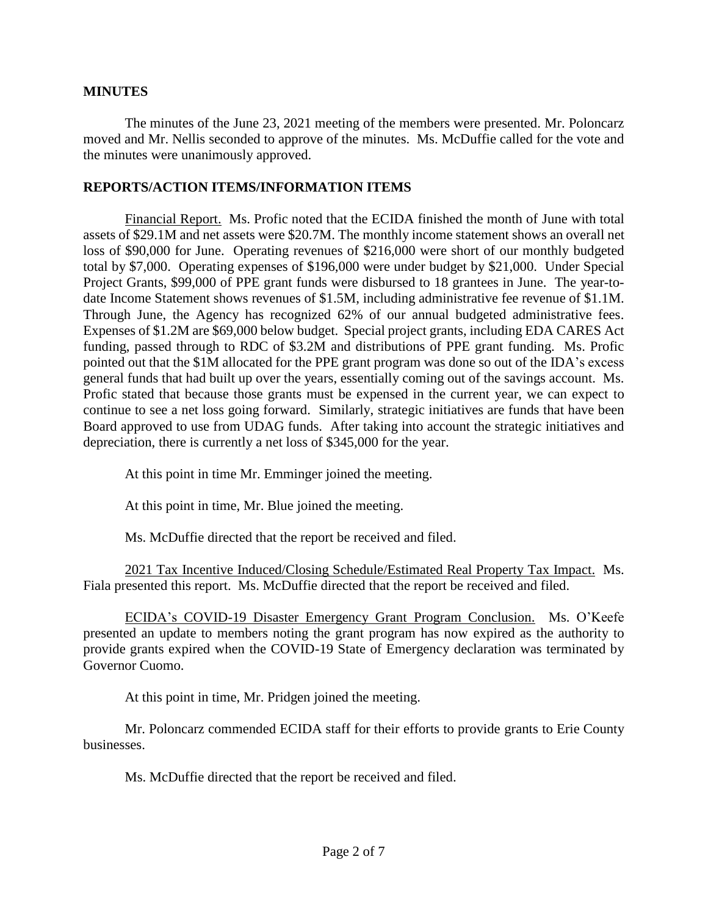### **MINUTES**

The minutes of the June 23, 2021 meeting of the members were presented. Mr. Poloncarz moved and Mr. Nellis seconded to approve of the minutes. Ms. McDuffie called for the vote and the minutes were unanimously approved.

#### **REPORTS/ACTION ITEMS/INFORMATION ITEMS**

Financial Report. Ms. Profic noted that the ECIDA finished the month of June with total assets of \$29.1M and net assets were \$20.7M. The monthly income statement shows an overall net loss of \$90,000 for June. Operating revenues of \$216,000 were short of our monthly budgeted total by \$7,000. Operating expenses of \$196,000 were under budget by \$21,000. Under Special Project Grants, \$99,000 of PPE grant funds were disbursed to 18 grantees in June. The year-todate Income Statement shows revenues of \$1.5M, including administrative fee revenue of \$1.1M. Through June, the Agency has recognized 62% of our annual budgeted administrative fees. Expenses of \$1.2M are \$69,000 below budget. Special project grants, including EDA CARES Act funding, passed through to RDC of \$3.2M and distributions of PPE grant funding. Ms. Profic pointed out that the \$1M allocated for the PPE grant program was done so out of the IDA's excess general funds that had built up over the years, essentially coming out of the savings account. Ms. Profic stated that because those grants must be expensed in the current year, we can expect to continue to see a net loss going forward. Similarly, strategic initiatives are funds that have been Board approved to use from UDAG funds. After taking into account the strategic initiatives and depreciation, there is currently a net loss of \$345,000 for the year.

At this point in time Mr. Emminger joined the meeting.

At this point in time, Mr. Blue joined the meeting.

Ms. McDuffie directed that the report be received and filed.

2021 Tax Incentive Induced/Closing Schedule/Estimated Real Property Tax Impact. Ms. Fiala presented this report. Ms. McDuffie directed that the report be received and filed.

ECIDA's COVID-19 Disaster Emergency Grant Program Conclusion. Ms. O'Keefe presented an update to members noting the grant program has now expired as the authority to provide grants expired when the COVID-19 State of Emergency declaration was terminated by Governor Cuomo.

At this point in time, Mr. Pridgen joined the meeting.

Mr. Poloncarz commended ECIDA staff for their efforts to provide grants to Erie County businesses.

Ms. McDuffie directed that the report be received and filed.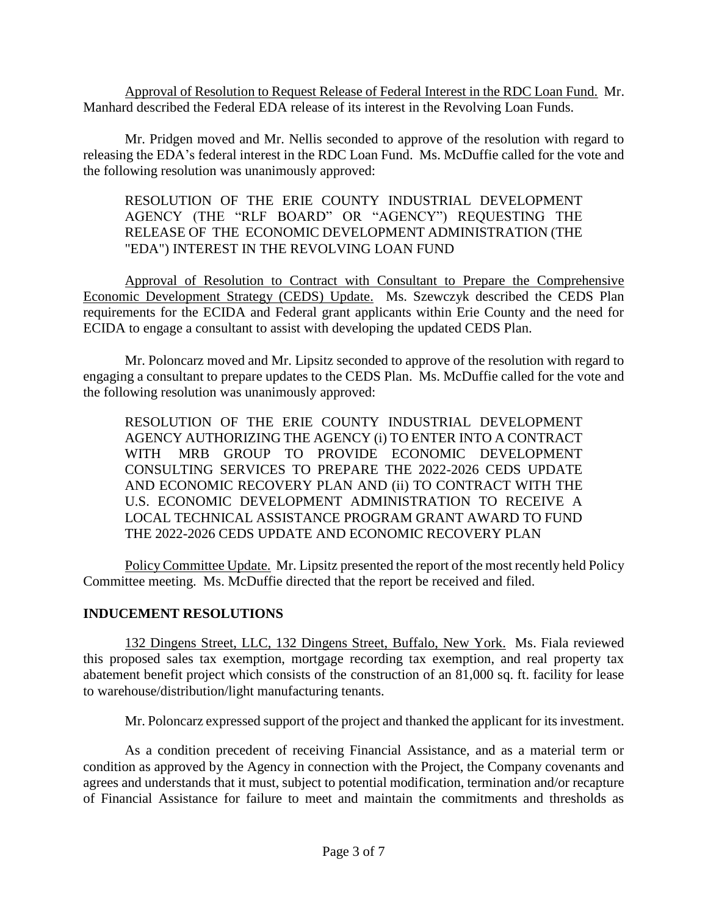Approval of Resolution to Request Release of Federal Interest in the RDC Loan Fund. Mr. Manhard described the Federal EDA release of its interest in the Revolving Loan Funds.

Mr. Pridgen moved and Mr. Nellis seconded to approve of the resolution with regard to releasing the EDA's federal interest in the RDC Loan Fund. Ms. McDuffie called for the vote and the following resolution was unanimously approved:

### RESOLUTION OF THE ERIE COUNTY INDUSTRIAL DEVELOPMENT AGENCY (THE "RLF BOARD" OR "AGENCY") REQUESTING THE RELEASE OF THE ECONOMIC DEVELOPMENT ADMINISTRATION (THE "EDA") INTEREST IN THE REVOLVING LOAN FUND

Approval of Resolution to Contract with Consultant to Prepare the Comprehensive Economic Development Strategy (CEDS) Update. Ms. Szewczyk described the CEDS Plan requirements for the ECIDA and Federal grant applicants within Erie County and the need for ECIDA to engage a consultant to assist with developing the updated CEDS Plan.

Mr. Poloncarz moved and Mr. Lipsitz seconded to approve of the resolution with regard to engaging a consultant to prepare updates to the CEDS Plan. Ms. McDuffie called for the vote and the following resolution was unanimously approved:

RESOLUTION OF THE ERIE COUNTY INDUSTRIAL DEVELOPMENT AGENCY AUTHORIZING THE AGENCY (i) TO ENTER INTO A CONTRACT WITH MRB GROUP TO PROVIDE ECONOMIC DEVELOPMENT CONSULTING SERVICES TO PREPARE THE 2022-2026 CEDS UPDATE AND ECONOMIC RECOVERY PLAN AND (ii) TO CONTRACT WITH THE U.S. ECONOMIC DEVELOPMENT ADMINISTRATION TO RECEIVE A LOCAL TECHNICAL ASSISTANCE PROGRAM GRANT AWARD TO FUND THE 2022-2026 CEDS UPDATE AND ECONOMIC RECOVERY PLAN

Policy Committee Update. Mr. Lipsitz presented the report of the most recently held Policy Committee meeting. Ms. McDuffie directed that the report be received and filed.

# **INDUCEMENT RESOLUTIONS**

132 Dingens Street, LLC, 132 Dingens Street, Buffalo, New York. Ms. Fiala reviewed this proposed sales tax exemption, mortgage recording tax exemption, and real property tax abatement benefit project which consists of the construction of an 81,000 sq. ft. facility for lease to warehouse/distribution/light manufacturing tenants.

Mr. Poloncarz expressed support of the project and thanked the applicant for its investment.

As a condition precedent of receiving Financial Assistance, and as a material term or condition as approved by the Agency in connection with the Project, the Company covenants and agrees and understands that it must, subject to potential modification, termination and/or recapture of Financial Assistance for failure to meet and maintain the commitments and thresholds as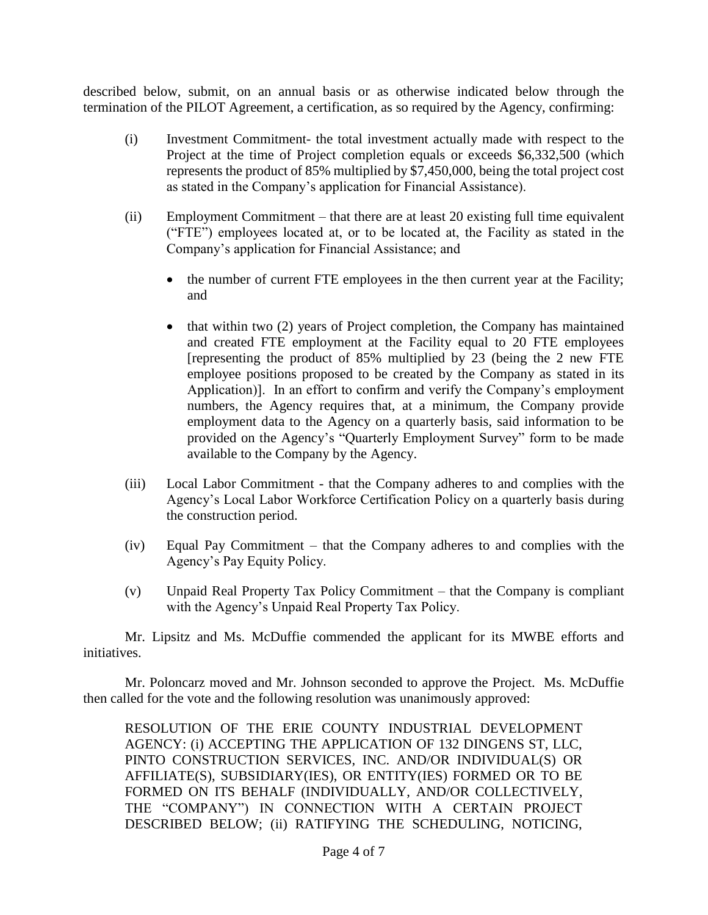described below, submit, on an annual basis or as otherwise indicated below through the termination of the PILOT Agreement, a certification, as so required by the Agency, confirming:

- (i) Investment Commitment- the total investment actually made with respect to the Project at the time of Project completion equals or exceeds \$6,332,500 (which represents the product of 85% multiplied by \$7,450,000, being the total project cost as stated in the Company's application for Financial Assistance).
- (ii) Employment Commitment that there are at least 20 existing full time equivalent ("FTE") employees located at, or to be located at, the Facility as stated in the Company's application for Financial Assistance; and
	- the number of current FTE employees in the then current year at the Facility; and
	- $\bullet$  that within two (2) years of Project completion, the Company has maintained and created FTE employment at the Facility equal to 20 FTE employees [representing the product of 85% multiplied by 23 (being the 2 new FTE employee positions proposed to be created by the Company as stated in its Application)]. In an effort to confirm and verify the Company's employment numbers, the Agency requires that, at a minimum, the Company provide employment data to the Agency on a quarterly basis, said information to be provided on the Agency's "Quarterly Employment Survey" form to be made available to the Company by the Agency.
- (iii) Local Labor Commitment that the Company adheres to and complies with the Agency's Local Labor Workforce Certification Policy on a quarterly basis during the construction period.
- (iv) Equal Pay Commitment that the Company adheres to and complies with the Agency's Pay Equity Policy.
- (v) Unpaid Real Property Tax Policy Commitment that the Company is compliant with the Agency's Unpaid Real Property Tax Policy.

Mr. Lipsitz and Ms. McDuffie commended the applicant for its MWBE efforts and initiatives.

Mr. Poloncarz moved and Mr. Johnson seconded to approve the Project. Ms. McDuffie then called for the vote and the following resolution was unanimously approved:

RESOLUTION OF THE ERIE COUNTY INDUSTRIAL DEVELOPMENT AGENCY: (i) ACCEPTING THE APPLICATION OF 132 DINGENS ST, LLC, PINTO CONSTRUCTION SERVICES, INC. AND/OR INDIVIDUAL(S) OR AFFILIATE(S), SUBSIDIARY(IES), OR ENTITY(IES) FORMED OR TO BE FORMED ON ITS BEHALF (INDIVIDUALLY, AND/OR COLLECTIVELY, THE "COMPANY") IN CONNECTION WITH A CERTAIN PROJECT DESCRIBED BELOW; (ii) RATIFYING THE SCHEDULING, NOTICING,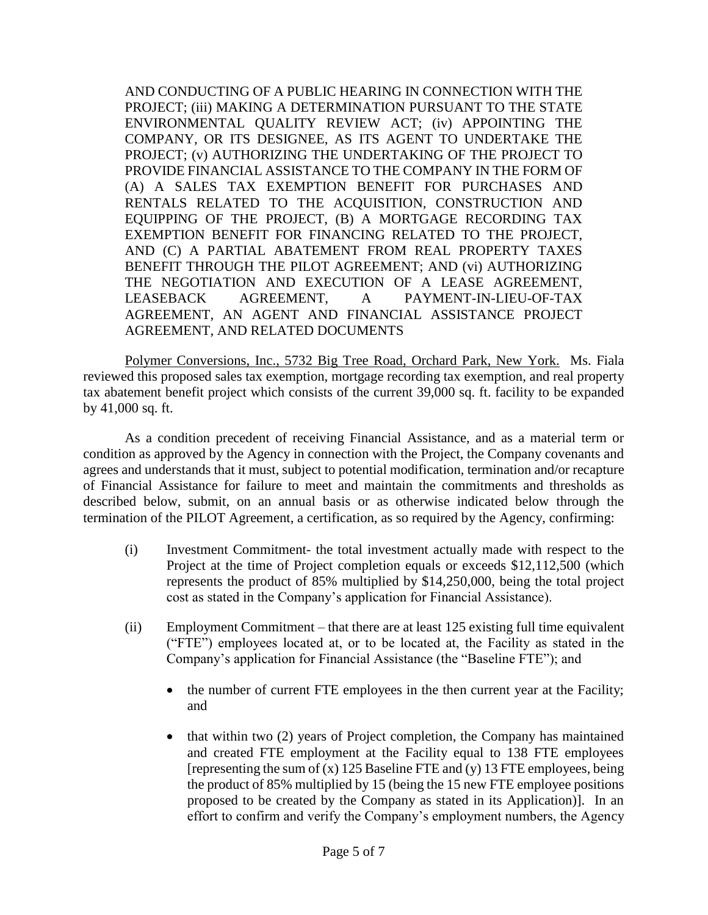AND CONDUCTING OF A PUBLIC HEARING IN CONNECTION WITH THE PROJECT; (iii) MAKING A DETERMINATION PURSUANT TO THE STATE ENVIRONMENTAL QUALITY REVIEW ACT; (iv) APPOINTING THE COMPANY, OR ITS DESIGNEE, AS ITS AGENT TO UNDERTAKE THE PROJECT; (v) AUTHORIZING THE UNDERTAKING OF THE PROJECT TO PROVIDE FINANCIAL ASSISTANCE TO THE COMPANY IN THE FORM OF (A) A SALES TAX EXEMPTION BENEFIT FOR PURCHASES AND RENTALS RELATED TO THE ACQUISITION, CONSTRUCTION AND EQUIPPING OF THE PROJECT, (B) A MORTGAGE RECORDING TAX EXEMPTION BENEFIT FOR FINANCING RELATED TO THE PROJECT, AND (C) A PARTIAL ABATEMENT FROM REAL PROPERTY TAXES BENEFIT THROUGH THE PILOT AGREEMENT; AND (vi) AUTHORIZING THE NEGOTIATION AND EXECUTION OF A LEASE AGREEMENT, LEASEBACK AGREEMENT, A PAYMENT-IN-LIEU-OF-TAX AGREEMENT, AN AGENT AND FINANCIAL ASSISTANCE PROJECT AGREEMENT, AND RELATED DOCUMENTS

Polymer Conversions, Inc., 5732 Big Tree Road, Orchard Park, New York. Ms. Fiala reviewed this proposed sales tax exemption, mortgage recording tax exemption, and real property tax abatement benefit project which consists of the current 39,000 sq. ft. facility to be expanded by 41,000 sq. ft.

As a condition precedent of receiving Financial Assistance, and as a material term or condition as approved by the Agency in connection with the Project, the Company covenants and agrees and understands that it must, subject to potential modification, termination and/or recapture of Financial Assistance for failure to meet and maintain the commitments and thresholds as described below, submit, on an annual basis or as otherwise indicated below through the termination of the PILOT Agreement, a certification, as so required by the Agency, confirming:

- (i) Investment Commitment- the total investment actually made with respect to the Project at the time of Project completion equals or exceeds \$12,112,500 (which represents the product of 85% multiplied by \$14,250,000, being the total project cost as stated in the Company's application for Financial Assistance).
- (ii) Employment Commitment that there are at least 125 existing full time equivalent ("FTE") employees located at, or to be located at, the Facility as stated in the Company's application for Financial Assistance (the "Baseline FTE"); and
	- the number of current FTE employees in the then current year at the Facility; and
	- that within two (2) years of Project completion, the Company has maintained and created FTE employment at the Facility equal to 138 FTE employees [representing the sum of (x) 125 Baseline FTE and (y) 13 FTE employees, being the product of 85% multiplied by 15 (being the 15 new FTE employee positions proposed to be created by the Company as stated in its Application)]. In an effort to confirm and verify the Company's employment numbers, the Agency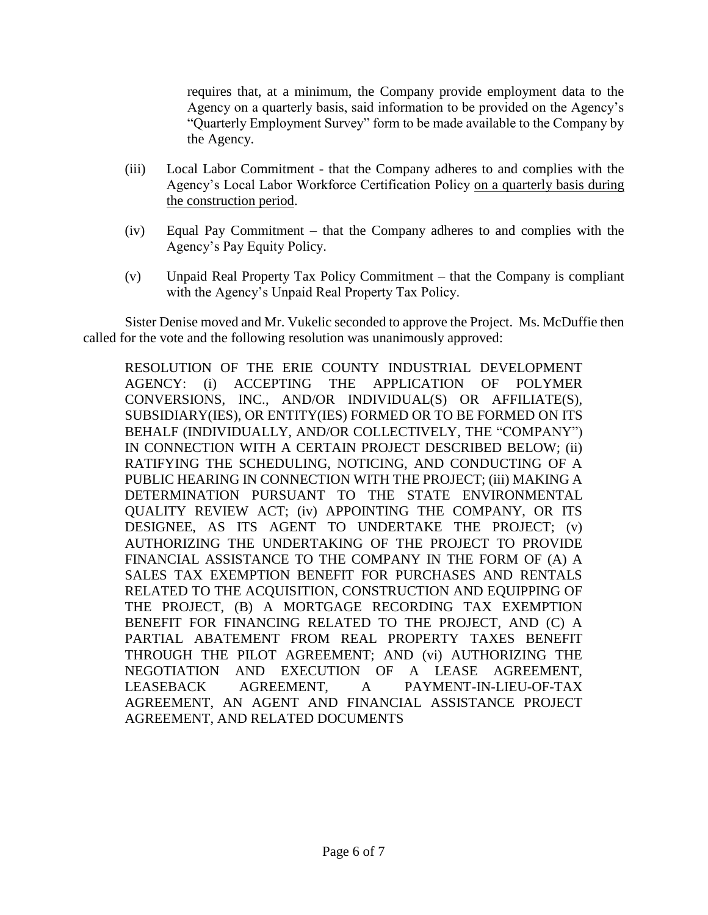requires that, at a minimum, the Company provide employment data to the Agency on a quarterly basis, said information to be provided on the Agency's "Quarterly Employment Survey" form to be made available to the Company by the Agency.

- (iii) Local Labor Commitment that the Company adheres to and complies with the Agency's Local Labor Workforce Certification Policy on a quarterly basis during the construction period.
- (iv) Equal Pay Commitment that the Company adheres to and complies with the Agency's Pay Equity Policy.
- (v) Unpaid Real Property Tax Policy Commitment that the Company is compliant with the Agency's Unpaid Real Property Tax Policy.

Sister Denise moved and Mr. Vukelic seconded to approve the Project. Ms. McDuffie then called for the vote and the following resolution was unanimously approved:

RESOLUTION OF THE ERIE COUNTY INDUSTRIAL DEVELOPMENT AGENCY: (i) ACCEPTING THE APPLICATION OF POLYMER CONVERSIONS, INC., AND/OR INDIVIDUAL(S) OR AFFILIATE(S), SUBSIDIARY(IES), OR ENTITY(IES) FORMED OR TO BE FORMED ON ITS BEHALF (INDIVIDUALLY, AND/OR COLLECTIVELY, THE "COMPANY") IN CONNECTION WITH A CERTAIN PROJECT DESCRIBED BELOW; (ii) RATIFYING THE SCHEDULING, NOTICING, AND CONDUCTING OF A PUBLIC HEARING IN CONNECTION WITH THE PROJECT; (iii) MAKING A DETERMINATION PURSUANT TO THE STATE ENVIRONMENTAL QUALITY REVIEW ACT; (iv) APPOINTING THE COMPANY, OR ITS DESIGNEE, AS ITS AGENT TO UNDERTAKE THE PROJECT; (v) AUTHORIZING THE UNDERTAKING OF THE PROJECT TO PROVIDE FINANCIAL ASSISTANCE TO THE COMPANY IN THE FORM OF (A) A SALES TAX EXEMPTION BENEFIT FOR PURCHASES AND RENTALS RELATED TO THE ACQUISITION, CONSTRUCTION AND EQUIPPING OF THE PROJECT, (B) A MORTGAGE RECORDING TAX EXEMPTION BENEFIT FOR FINANCING RELATED TO THE PROJECT, AND (C) A PARTIAL ABATEMENT FROM REAL PROPERTY TAXES BENEFIT THROUGH THE PILOT AGREEMENT; AND (vi) AUTHORIZING THE NEGOTIATION AND EXECUTION OF A LEASE AGREEMENT, LEASEBACK AGREEMENT, A PAYMENT-IN-LIEU-OF-TAX AGREEMENT, AN AGENT AND FINANCIAL ASSISTANCE PROJECT AGREEMENT, AND RELATED DOCUMENTS